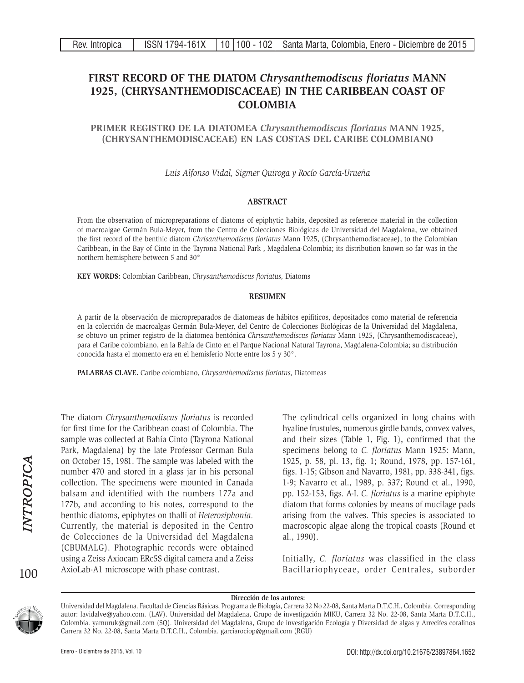# **FIRST RECORD OF THE DIATOM** *Chrysanthemodiscus floriatus* **MANN 1925, (CHRYSANTHEMODISCACEAE) IN THE CARIBBEAN COAST OF COLOMBIA**

**PRIMER REGISTRO DE LA DIATOMEA** *Chrysanthemodiscus floriatus* **MANN 1925, (CHRYSANTHEMODISCACEAE) EN LAS COSTAS DEL CARIBE COLOMBIANO**

*Luis Alfonso Vidal, Sigmer Quiroga y Rocío García-Urueña*

# **ABSTRACT**

From the observation of micropreparations of diatoms of epiphytic habits, deposited as reference material in the collection of macroalgae Germán Bula-Meyer, from the Centro de Colecciones Biológicas de Universidad del Magdalena, we obtained the first record of the benthic diatom *Chrisanthemodiscus floriatus* Mann 1925, (Chrysanthemodiscaceae), to the Colombian Caribbean, in the Bay of Cinto in the Tayrona National Park , Magdalena-Colombia; its distribution known so far was in the northern hemisphere between 5 and 30°

**KEY WORDS:** Colombian Caribbean, *Chrysanthemodiscus floriatus,* Diatoms

## **RESUMEN**

A partir de la observación de micropreparados de diatomeas de hábitos epifíticos, depositados como material de referencia en la colección de macroalgas Germán Bula-Meyer, del Centro de Colecciones Biológicas de la Universidad del Magdalena, se obtuvo un primer registro de la diatomea bentónica *Chrisanthemodiscus floriatus* Mann 1925, (Chrysanthemodiscaceae), para el Caribe colombiano, en la Bahía de Cinto en el Parque Nacional Natural Tayrona, Magdalena-Colombia; su distribución conocida hasta el momento era en el hemisferio Norte entre los 5 y 30°.

**PALABRAS CLAVE.** Caribe colombiano, *Chrysanthemodiscus floriatus,* Diatomeas

The diatom *Chrysanthemodiscus floriatus* is recorded for first time for the Caribbean coast of Colombia. The sample was collected at Bahía Cinto (Tayrona National Park, Magdalena) by the late Professor German Bula on October 15, 1981. The sample was labeled with the number 470 and stored in a glass jar in his personal collection. The specimens were mounted in Canada balsam and identified with the numbers 177a and 177b, and according to his notes, correspond to the benthic diatoms, epiphytes on thalli of *Heterosiphonia.*  Currently, the material is deposited in the Centro de Colecciones de la Universidad del Magdalena (CBUMALG). Photographic records were obtained using a Zeiss Axiocam ERc5S digital camera and a Zeiss AxioLab-A1 microscope with phase contrast.

The cylindrical cells organized in long chains with hyaline frustules, numerous girdle bands, convex valves, and their sizes (Table 1, Fig. 1), confirmed that the specimens belong to *C. floriatus* Mann 1925: Mann, 1925, p. 58, pl. 13, fig. 1; Round, 1978, pp. 157-161, figs. 1-15; Gibson and Navarro, 1981, pp. 338-341, figs. 1-9; Navarro et al., 1989, p. 337; Round et al., 1990, pp. 152-153, figs. A-I. *C. floriatus* is a marine epiphyte diatom that forms colonies by means of mucilage pads arising from the valves. This species is associated to macroscopic algae along the tropical coasts (Round et al., 1990).

Initially, *C. floriatus* was classified in the class Bacillariophyceae, order Centrales, suborder

#### **Dirección de los autores:**

Universidad del Magdalena. Facultad de Ciencias Básicas, Programa de Biología, Carrera 32 No 22-08, Santa Marta D.T.C.H., Colombia. Corresponding autor: lavidalve@yahoo.com. (LAV). Universidad del Magdalena, Grupo de investigación MIKU, Carrera 32 No. 22-08, Santa Marta D.T.C.H., Colombia. yamuruk@gmail.com (SQ). Universidad del Magdalena, Grupo de investigación Ecología y Diversidad de algas y Arrecifes coralinos Carrera 32 No. 22-08, Santa Marta D.T.C.H., Colombia. garciarociop@gmail.com (RGU)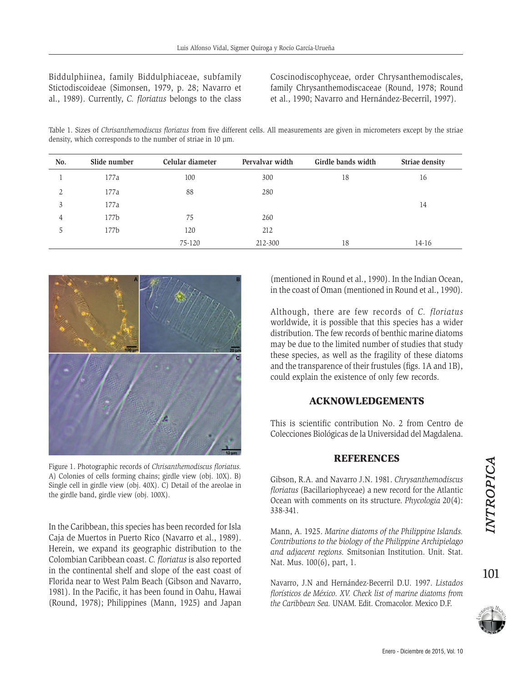Biddulphiinea, family Biddulphiaceae, subfamily Stictodiscoideae (Simonsen, 1979, p. 28; Navarro et al., 1989). Currently, *C. floriatus* belongs to the class

Coscinodiscophyceae, order Chrysanthemodiscales, family Chrysanthemodiscaceae (Round, 1978; Round et al., 1990; Navarro and Hernández-Becerril, 1997).

Table 1. Sizes of *Chrisanthemodiscus floriatus* from five different cells. All measurements are given in micrometers except by the striae density, which corresponds to the number of striae in 10  $\mu$ m.

| No. | Slide number | Celular diameter | Pervalvar width | Girdle bands width | Striae density |
|-----|--------------|------------------|-----------------|--------------------|----------------|
|     | 177a         | 100              | 300             | 18                 | 16             |
| 2   | 177a         | 88               | 280             |                    |                |
| 3   | 177a         |                  |                 |                    | 14             |
| 4   | 177b         | 75               | 260             |                    |                |
| 5   | 177b         | 120              | 212             |                    |                |
|     |              | 75-120           | 212-300         | 18                 | $14 - 16$      |



Figure 1. Photographic records of *Chrisanthemodiscus floriatus.*  A) Colonies of cells forming chains; girdle view (obj. 10X). B) Single cell in girdle view (obj. 40X). C) Detail of the areolae in the girdle band, girdle view (obj. 100X).

In the Caribbean, this species has been recorded for Isla Caja de Muertos in Puerto Rico (Navarro et al., 1989). Herein, we expand its geographic distribution to the Colombian Caribbean coast. *C. floriatus* is also reported in the continental shelf and slope of the east coast of Florida near to West Palm Beach (Gibson and Navarro, 1981). In the Pacific, it has been found in Oahu, Hawai (Round, 1978); Philippines (Mann, 1925) and Japan (mentioned in Round et al., 1990). In the Indian Ocean, in the coast of Oman (mentioned in Round et al., 1990).

Although, there are few records of *C. floriatus*  worldwide, it is possible that this species has a wider distribution. The few records of benthic marine diatoms may be due to the limited number of studies that study these species, as well as the fragility of these diatoms and the transparence of their frustules (figs. 1A and 1B), could explain the existence of only few records.

# ACKNOWLEDGEMENTS

This is scientific contribution No. 2 from Centro de Colecciones Biológicas de la Universidad del Magdalena.

## **REFERENCES**

Gibson, R.A. and Navarro J.N. 1981. *Chrysanthemodiscus floriatus* (Bacillariophyceae) a new record for the Atlantic Ocean with comments on its structure. *Phycologia* 20(4): 338-341.

Mann, A. 1925. *Marine diatoms of the Philippine Islands. Contributions to the biology of the Philippine Archipielago and adjacent regions.* Smitsonian Institution. Unit. Stat. Nat. Mus. 100(6), part, 1.

Navarro, J.N and Hernández-Becerril D.U. 1997. *Listados florísticos de México. XV. Check list of marine diatoms from the Caribbean Sea.* UNAM. Edit. Cromacolor. Mexico D.F.

101